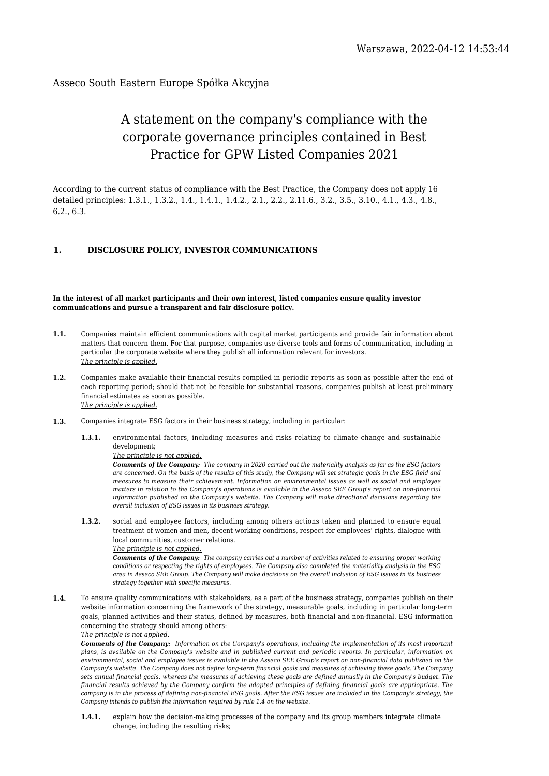# Asseco South Eastern Europe Spółka Akcyjna

# A statement on the company's compliance with the corporate governance principles contained in Best Practice for GPW Listed Companies 2021

According to the current status of compliance with the Best Practice, the Company does not apply 16 detailed principles: 1.3.1., 1.3.2., 1.4., 1.4.1., 1.4.2., 2.1., 2.2., 2.11.6., 3.2., 3.5., 3.10., 4.1., 4.3., 4.8., 6.2., 6.3.

# **1. DISCLOSURE POLICY, INVESTOR COMMUNICATIONS**

### **In the interest of all market participants and their own interest, listed companies ensure quality investor communications and pursue a transparent and fair disclosure policy.**

- **1.1.** Companies maintain efficient communications with capital market participants and provide fair information about matters that concern them. For that purpose, companies use diverse tools and forms of communication, including in particular the corporate website where they publish all information relevant for investors. *The principle is applied.*
- **1.2.** Companies make available their financial results compiled in periodic reports as soon as possible after the end of each reporting period; should that not be feasible for substantial reasons, companies publish at least preliminary financial estimates as soon as possible. *The principle is applied.*
- **1.3.** Companies integrate ESG factors in their business strategy, including in particular:
	- **1.3.1.** environmental factors, including measures and risks relating to climate change and sustainable development;

### *The principle is not applied.*

*Comments of the Company: The company in 2020 carried out the materiality analysis as far as the ESG factors are concerned. On the basis of the results of this study, the Company will set strategic goals in the ESG field and measures to measure their achievement. Information on environmental issues as well as social and employee matters in relation to the Company's operations is available in the Asseco SEE Group's report on non-financial information published on the Company's website. The Company will make directional decisions regarding the overall inclusion of ESG issues in its business strategy.*

**1.3.2.** social and employee factors, including among others actions taken and planned to ensure equal treatment of women and men, decent working conditions, respect for employees' rights, dialogue with local communities, customer relations.

#### *The principle is not applied.*

*Comments of the Company: The company carries out a number of activities related to ensuring proper working conditions or respecting the rights of employees. The Company also completed the materiality analysis in the ESG area in Asseco SEE Group. The Company will make decisions on the overall inclusion of ESG issues in its business strategy together with specific measures.*

**1.4.** To ensure quality communications with stakeholders, as a part of the business strategy, companies publish on their website information concerning the framework of the strategy, measurable goals, including in particular long-term goals, planned activities and their status, defined by measures, both financial and non-financial. ESG information concerning the strategy should among others:

### *The principle is not applied.*

*Comments of the Company: Information on the Company's operations, including the implementation of its most important plans, is available on the Company's website and in published current and periodic reports. In particular, information on environmental, social and employee issues is available in the Asseco SEE Group's report on non-financial data published on the Company's website. The Company does not define long-term financial goals and measures of achieving these goals. The Company sets annual financial goals, whereas the measures of achieving these goals are defined annually in the Company's budget. The financial results achieved by the Company confirm the adopted principles of defining financial goals are appriopriate. The company is in the process of defining non-financial ESG goals. After the ESG issues are included in the Company's strategy, the Company intends to publish the information required by rule 1.4 on the website.*

**1.4.1.** explain how the decision-making processes of the company and its group members integrate climate change, including the resulting risks;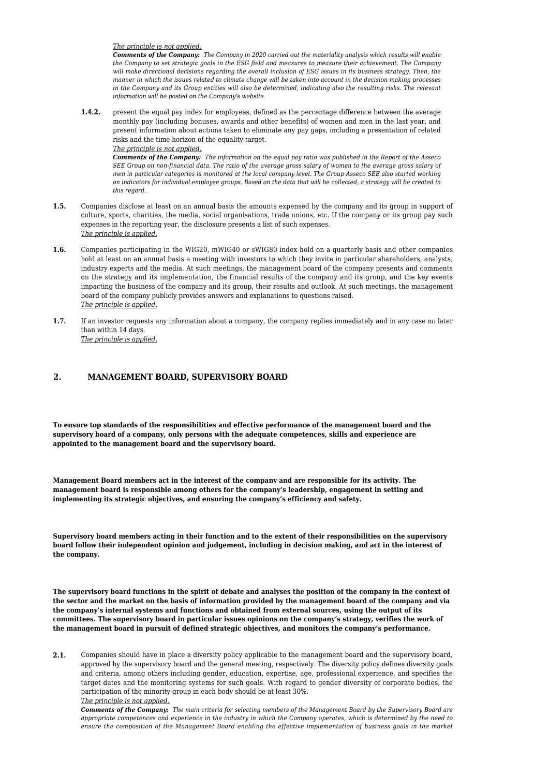*The principle is not applied.*

*Comments of the Company: The Company in 2020 carried out the materiality analysis which results will enable the Company to set strategic goals in the ESG field and measures to measure their achievement. The Company will make directional decisions regarding the overall inclusion of ESG issues in its business strategy. Then, the manner in which the issues related to climate change will be taken into account in the decision-making processes in the Company and its Group entities will also be determined, indicating also the resulting risks. The relevant information will be posted on the Company's website.*

**1.4.2.** present the equal pay index for employees, defined as the percentage difference between the average monthly pay (including bonuses, awards and other benefits) of women and men in the last year, and present information about actions taken to eliminate any pay gaps, including a presentation of related risks and the time horizon of the equality target.

*The principle is not applied.*

*Comments of the Company: The information on the equal pay ratio was published in the Report of the Asseco SEE Group on non-financial data. The ratio of the average gross salary of women to the average gross salary of men in particular categories is monitored at the local company level. The Group Asseco SEE also started working on indicators for individual employee groups. Based on the data that will be collected, a strategy will be created in this regard.*

- **1.5.** Companies disclose at least on an annual basis the amounts expensed by the company and its group in support of culture, sports, charities, the media, social organisations, trade unions, etc. If the company or its group pay such expenses in the reporting year, the disclosure presents a list of such expenses. *The principle is applied.*
- **1.6.** Companies participating in the WIG20, mWIG40 or sWIG80 index hold on a quarterly basis and other companies hold at least on an annual basis a meeting with investors to which they invite in particular shareholders, analysts, industry experts and the media. At such meetings, the management board of the company presents and comments on the strategy and its implementation, the financial results of the company and its group, and the key events impacting the business of the company and its group, their results and outlook. At such meetings, the management board of the company publicly provides answers and explanations to questions raised. *The principle is applied.*
- **1.7.** If an investor requests any information about a company, the company replies immediately and in any case no later than within 14 days. *The principle is applied.*

## **2. MANAGEMENT BOARD, SUPERVISORY BOARD**

**To ensure top standards of the responsibilities and effective performance of the management board and the supervisory board of a company, only persons with the adequate competences, skills and experience are appointed to the management board and the supervisory board.**

**Management Board members act in the interest of the company and are responsible for its activity. The management board is responsible among others for the company's leadership, engagement in setting and implementing its strategic objectives, and ensuring the company's efficiency and safety.**

**Supervisory board members acting in their function and to the extent of their responsibilities on the supervisory board follow their independent opinion and judgement, including in decision making, and act in the interest of the company.**

**The supervisory board functions in the spirit of debate and analyses the position of the company in the context of the sector and the market on the basis of information provided by the management board of the company and via the company's internal systems and functions and obtained from external sources, using the output of its committees. The supervisory board in particular issues opinions on the company's strategy, verifies the work of the management board in pursuit of defined strategic objectives, and monitors the company's performance.**

**2.1.** Companies should have in place a diversity policy applicable to the management board and the supervisory board, approved by the supervisory board and the general meeting, respectively. The diversity policy defines diversity goals and criteria, among others including gender, education, expertise, age, professional experience, and specifies the target dates and the monitoring systems for such goals. With regard to gender diversity of corporate bodies, the participation of the minority group in each body should be at least 30%.

*The principle is not applied.*

*Comments of the Company: The main criteria for selecting members of the Management Board by the Supervisory Board are appropriate competences and experience in the industry in which the Company operates, which is determined by the need to ensure the composition of the Management Board enabling the effective implementation of business goals in the market*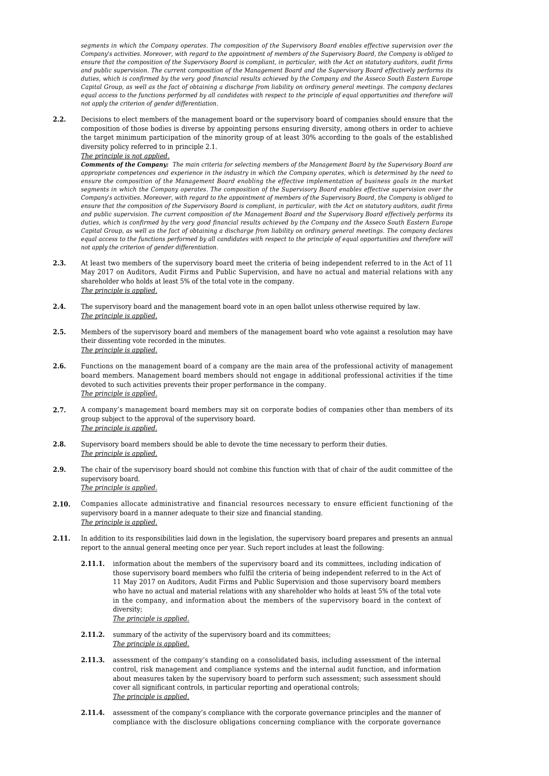*segments in which the Company operates. The composition of the Supervisory Board enables effective supervision over the Company's activities. Moreover, with regard to the appointment of members of the Supervisory Board, the Company is obliged to ensure that the composition of the Supervisory Board is compliant, in particular, with the Act on statutory auditors, audit firms and public supervision. The current composition of the Management Board and the Supervisory Board effectively performs its duties, which is confirmed by the very good financial results achieved by the Company and the Asseco South Eastern Europe Capital Group, as well as the fact of obtaining a discharge from liability on ordinary general meetings. The company declares equal access to the functions performed by all candidates with respect to the principle of equal opportunities and therefore will not apply the criterion of gender differentiation.*

**2.2.** Decisions to elect members of the management board or the supervisory board of companies should ensure that the composition of those bodies is diverse by appointing persons ensuring diversity, among others in order to achieve the target minimum participation of the minority group of at least 30% according to the goals of the established diversity policy referred to in principle 2.1.

*The principle is not applied.*

*Comments of the Company: The main criteria for selecting members of the Management Board by the Supervisory Board are appropriate competences and experience in the industry in which the Company operates, which is determined by the need to ensure the composition of the Management Board enabling the effective implementation of business goals in the market segments in which the Company operates. The composition of the Supervisory Board enables effective supervision over the Company's activities. Moreover, with regard to the appointment of members of the Supervisory Board, the Company is obliged to ensure that the composition of the Supervisory Board is compliant, in particular, with the Act on statutory auditors, audit firms and public supervision. The current composition of the Management Board and the Supervisory Board effectively performs its duties, which is confirmed by the very good financial results achieved by the Company and the Asseco South Eastern Europe Capital Group, as well as the fact of obtaining a discharge from liability on ordinary general meetings. The company declares equal access to the functions performed by all candidates with respect to the principle of equal opportunities and therefore will not apply the criterion of gender differentiation.*

- **2.3.** At least two members of the supervisory board meet the criteria of being independent referred to in the Act of 11 May 2017 on Auditors, Audit Firms and Public Supervision, and have no actual and material relations with any shareholder who holds at least 5% of the total vote in the company. *The principle is applied.*
- **2.4.** The supervisory board and the management board vote in an open ballot unless otherwise required by law. *The principle is applied.*
- **2.5.** Members of the supervisory board and members of the management board who vote against a resolution may have their dissenting vote recorded in the minutes. *The principle is applied.*
- **2.6.** Functions on the management board of a company are the main area of the professional activity of management board members. Management board members should not engage in additional professional activities if the time devoted to such activities prevents their proper performance in the company. *The principle is applied.*
- **2.7.** A company's management board members may sit on corporate bodies of companies other than members of its group subject to the approval of the supervisory board. *The principle is applied.*
- **2.8.** Supervisory board members should be able to devote the time necessary to perform their duties. *The principle is applied.*
- **2.9.** The chair of the supervisory board should not combine this function with that of chair of the audit committee of the supervisory board. *The principle is applied.*
- **2.10.** Companies allocate administrative and financial resources necessary to ensure efficient functioning of the supervisory board in a manner adequate to their size and financial standing. *The principle is applied.*
- **2.11.** In addition to its responsibilities laid down in the legislation, the supervisory board prepares and presents an annual report to the annual general meeting once per year. Such report includes at least the following:
	- **2.11.1.** information about the members of the supervisory board and its committees, including indication of those supervisory board members who fulfil the criteria of being independent referred to in the Act of 11 May 2017 on Auditors, Audit Firms and Public Supervision and those supervisory board members who have no actual and material relations with any shareholder who holds at least 5% of the total vote in the company, and information about the members of the supervisory board in the context of diversity;

### *The principle is applied.*

- **2.11.2.** summary of the activity of the supervisory board and its committees; *The principle is applied.*
- **2.11.3.** assessment of the company's standing on a consolidated basis, including assessment of the internal control, risk management and compliance systems and the internal audit function, and information about measures taken by the supervisory board to perform such assessment; such assessment should cover all significant controls, in particular reporting and operational controls; *The principle is applied.*
- **2.11.4.** assessment of the company's compliance with the corporate governance principles and the manner of compliance with the disclosure obligations concerning compliance with the corporate governance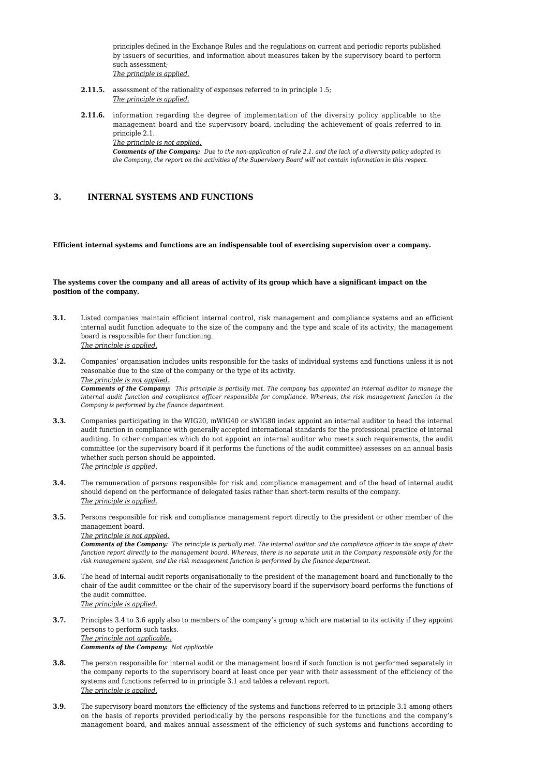principles defined in the Exchange Rules and the regulations on current and periodic reports published by issuers of securities, and information about measures taken by the supervisory board to perform such assessment;

- *The principle is applied.*
- **2.11.5.** assessment of the rationality of expenses referred to in principle 1.5; *The principle is applied.*
- **2.11.6.** information regarding the degree of implementation of the diversity policy applicable to the management board and the supervisory board, including the achievement of goals referred to in principle 2.1. *The principle is not applied.*

*Comments of the Company: Due to the non-application of rule 2.1. and the lack of a diversity policy adopted in the Company, the report on the activities of the Supervisory Board will not contain information in this respect.*

# **3. INTERNAL SYSTEMS AND FUNCTIONS**

#### **Efficient internal systems and functions are an indispensable tool of exercising supervision over a company.**

### **The systems cover the company and all areas of activity of its group which have a significant impact on the position of the company.**

- **3.1.** Listed companies maintain efficient internal control, risk management and compliance systems and an efficient internal audit function adequate to the size of the company and the type and scale of its activity; the management board is responsible for their functioning. *The principle is applied.*
- **3.2.** Companies' organisation includes units responsible for the tasks of individual systems and functions unless it is not reasonable due to the size of the company or the type of its activity. *The principle is not applied.*

*Comments of the Company: This principle is partially met. The company has appointed an internal auditor to manage the internal audit function and compliance officer responsible for compliance. Whereas, the risk management function in the Company is performed by the finance department.*

- **3.3.** Companies participating in the WIG20, mWIG40 or sWIG80 index appoint an internal auditor to head the internal audit function in compliance with generally accepted international standards for the professional practice of internal auditing. In other companies which do not appoint an internal auditor who meets such requirements, the audit committee (or the supervisory board if it performs the functions of the audit committee) assesses on an annual basis whether such person should be appointed. *The principle is applied.*
- **3.4.** The remuneration of persons responsible for risk and compliance management and of the head of internal audit should depend on the performance of delegated tasks rather than short-term results of the company. *The principle is applied.*
- **3.5.** Persons responsible for risk and compliance management report directly to the president or other member of the management board.

#### *The principle is not applied.*

*Comments of the Company: The principle is partially met. The internal auditor and the compliance officer in the scope of their function report directly to the management board. Whereas, there is no separate unit in the Company responsible only for the risk management system, and the risk management function is performed by the finance department.*

- **3.6.** The head of internal audit reports organisationally to the president of the management board and functionally to the chair of the audit committee or the chair of the supervisory board if the supervisory board performs the functions of the audit committee. *The principle is applied.*
- **3.7.** Principles 3.4 to 3.6 apply also to members of the company's group which are material to its activity if they appoint persons to perform such tasks. *The principle not applicable. Comments of the Company: Not applicable.*
- **3.8.** The person responsible for internal audit or the management board if such function is not performed separately in the company reports to the supervisory board at least once per year with their assessment of the efficiency of the systems and functions referred to in principle 3.1 and tables a relevant report. *The principle is applied.*
- **3.9.** The supervisory board monitors the efficiency of the systems and functions referred to in principle 3.1 among others on the basis of reports provided periodically by the persons responsible for the functions and the company's management board, and makes annual assessment of the efficiency of such systems and functions according to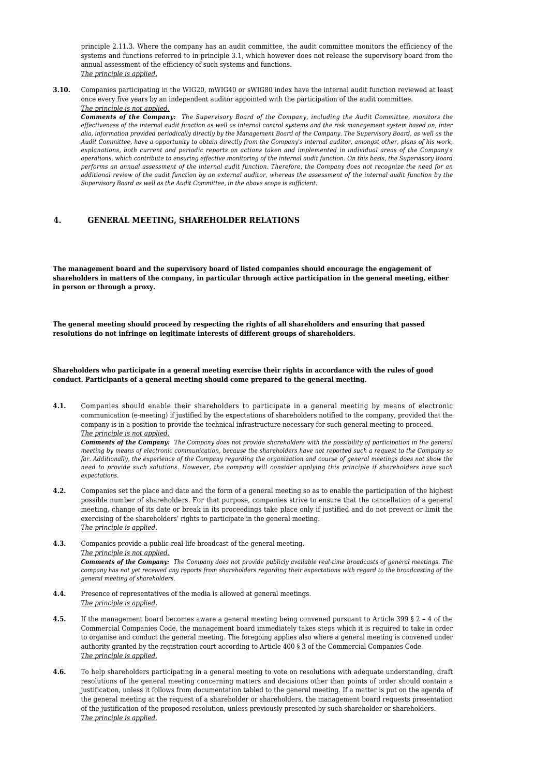principle 2.11.3. Where the company has an audit committee, the audit committee monitors the efficiency of the systems and functions referred to in principle 3.1, which however does not release the supervisory board from the annual assessment of the efficiency of such systems and functions. *The principle is applied.*

**3.10.** Companies participating in the WIG20, mWIG40 or sWIG80 index have the internal audit function reviewed at least once every five years by an independent auditor appointed with the participation of the audit committee. *The principle is not applied.*

*Comments of the Company: The Supervisory Board of the Company, including the Audit Committee, monitors the effectiveness of the internal audit function as well as internal control systems and the risk management system based on, inter alia, information provided periodically directly by the Management Board of the Company. The Supervisory Board, as well as the Audit Committee, have a opportunity to obtain directly from the Company's internal auditor, amongst other, plans of his work, explanations, both current and periodic reports on actions taken and implemented in individual areas of the Company's operations, which contribute to ensuring effective monitoring of the internal audit function. On this basis, the Supervisory Board performs an annual assessment of the internal audit function. Therefore, the Company does not recognize the need for an additional review of the audit function by an external auditor, whereas the assessment of the internal audit function by the Supervisory Board as well as the Audit Committee, in the above scope is sufficient.*

# **4. GENERAL MEETING, SHAREHOLDER RELATIONS**

**The management board and the supervisory board of listed companies should encourage the engagement of shareholders in matters of the company, in particular through active participation in the general meeting, either in person or through a proxy.**

**The general meeting should proceed by respecting the rights of all shareholders and ensuring that passed resolutions do not infringe on legitimate interests of different groups of shareholders.**

**Shareholders who participate in a general meeting exercise their rights in accordance with the rules of good conduct. Participants of a general meeting should come prepared to the general meeting.**

**4.1.** Companies should enable their shareholders to participate in a general meeting by means of electronic communication (e-meeting) if justified by the expectations of shareholders notified to the company, provided that the company is in a position to provide the technical infrastructure necessary for such general meeting to proceed. *The principle is not applied.*

*Comments of the Company: The Company does not provide shareholders with the possibility of participation in the general meeting by means of electronic communication, because the shareholders have not reported such a request to the Company so far. Additionally, the experience of the Company regarding the organization and course of general meetings does not show the need to provide such solutions. However, the company will consider applying this principle if shareholders have such expectations.*

- **4.2.** Companies set the place and date and the form of a general meeting so as to enable the participation of the highest possible number of shareholders. For that purpose, companies strive to ensure that the cancellation of a general meeting, change of its date or break in its proceedings take place only if justified and do not prevent or limit the exercising of the shareholders' rights to participate in the general meeting. *The principle is applied.*
- **4.3.** Companies provide a public real-life broadcast of the general meeting. *The principle is not applied. Comments of the Company: The Company does not provide publicly available real-time broadcasts of general meetings. The company has not yet received any reports from shareholders regarding their expectations with regard to the broadcasting of the general meeting of shareholders.*
- **4.4.** Presence of representatives of the media is allowed at general meetings. *The principle is applied.*
- **4.5.** If the management board becomes aware a general meeting being convened pursuant to Article 399 § 2 4 of the Commercial Companies Code, the management board immediately takes steps which it is required to take in order to organise and conduct the general meeting. The foregoing applies also where a general meeting is convened under authority granted by the registration court according to Article 400 § 3 of the Commercial Companies Code. *The principle is applied.*
- **4.6.** To help shareholders participating in a general meeting to vote on resolutions with adequate understanding, draft resolutions of the general meeting concerning matters and decisions other than points of order should contain a justification, unless it follows from documentation tabled to the general meeting. If a matter is put on the agenda of the general meeting at the request of a shareholder or shareholders, the management board requests presentation of the justification of the proposed resolution, unless previously presented by such shareholder or shareholders. *The principle is applied.*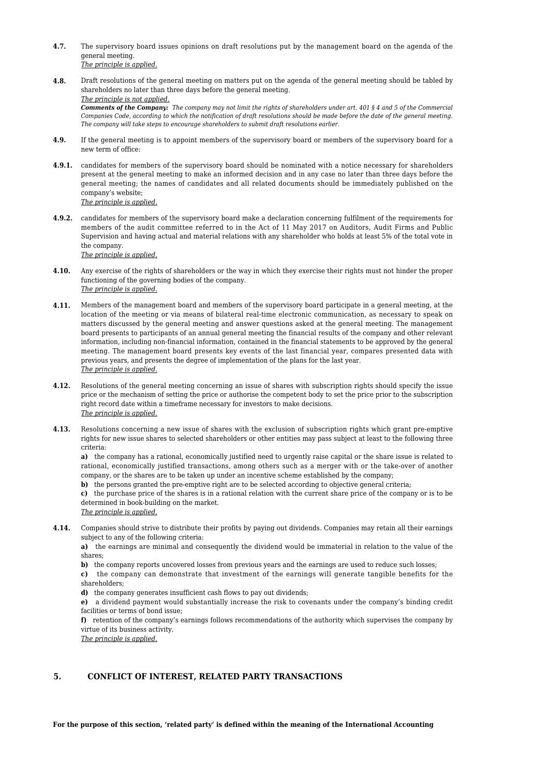- **4.7.** The supervisory board issues opinions on draft resolutions put by the management board on the agenda of the general meeting. *The principle is applied.*
- **4.8.** Draft resolutions of the general meeting on matters put on the agenda of the general meeting should be tabled by shareholders no later than three days before the general meeting. *The principle is not applied. Comments of the Company: The company may not limit the rights of shareholders under art. 401 § 4 and 5 of the Commercial Companies Code, according to which the notification of draft resolutions should be made before the date of the general meeting.*
	- *The company will take steps to encourage shareholders to submit draft resolutions earlier.*
- **4.9.** If the general meeting is to appoint members of the supervisory board or members of the supervisory board for a new term of office:
- **4.9.1.** candidates for members of the supervisory board should be nominated with a notice necessary for shareholders present at the general meeting to make an informed decision and in any case no later than three days before the general meeting; the names of candidates and all related documents should be immediately published on the company's website; *The principle is applied.*
- **4.9.2.** candidates for members of the supervisory board make a declaration concerning fulfilment of the requirements for members of the audit committee referred to in the Act of 11 May 2017 on Auditors, Audit Firms and Public Supervision and having actual and material relations with any shareholder who holds at least 5% of the total vote in the company.

*The principle is applied.*

- **4.10.** Any exercise of the rights of shareholders or the way in which they exercise their rights must not hinder the proper functioning of the governing bodies of the company. *The principle is applied.*
- **4.11.** Members of the management board and members of the supervisory board participate in a general meeting, at the location of the meeting or via means of bilateral real-time electronic communication, as necessary to speak on matters discussed by the general meeting and answer questions asked at the general meeting. The management board presents to participants of an annual general meeting the financial results of the company and other relevant information, including non-financial information, contained in the financial statements to be approved by the general meeting. The management board presents key events of the last financial year, compares presented data with previous years, and presents the degree of implementation of the plans for the last year. *The principle is applied.*
- **4.12.** Resolutions of the general meeting concerning an issue of shares with subscription rights should specify the issue price or the mechanism of setting the price or authorise the competent body to set the price prior to the subscription right record date within a timeframe necessary for investors to make decisions. *The principle is applied.*
- **4.13.** Resolutions concerning a new issue of shares with the exclusion of subscription rights which grant pre-emptive rights for new issue shares to selected shareholders or other entities may pass subject at least to the following three criteria:

**a)** the company has a rational, economically justified need to urgently raise capital or the share issue is related to rational, economically justified transactions, among others such as a merger with or the take-over of another company, or the shares are to be taken up under an incentive scheme established by the company;

**b)** the persons granted the pre-emptive right are to be selected according to objective general criteria;

**c)** the purchase price of the shares is in a rational relation with the current share price of the company or is to be determined in book-building on the market.

- *The principle is applied.*
- **4.14.** Companies should strive to distribute their profits by paying out dividends. Companies may retain all their earnings subject to any of the following criteria:

**a)** the earnings are minimal and consequently the dividend would be immaterial in relation to the value of the shares;

**b)** the company reports uncovered losses from previous years and the earnings are used to reduce such losses;

**c)** the company can demonstrate that investment of the earnings will generate tangible benefits for the shareholders;

**d)** the company generates insufficient cash flows to pay out dividends;

**e)** a dividend payment would substantially increase the risk to covenants under the company's binding credit facilities or terms of bond issue;

**f)** retention of the company's earnings follows recommendations of the authority which supervises the company by virtue of its business activity. *The principle is applied.*

### **5. CONFLICT OF INTEREST, RELATED PARTY TRANSACTIONS**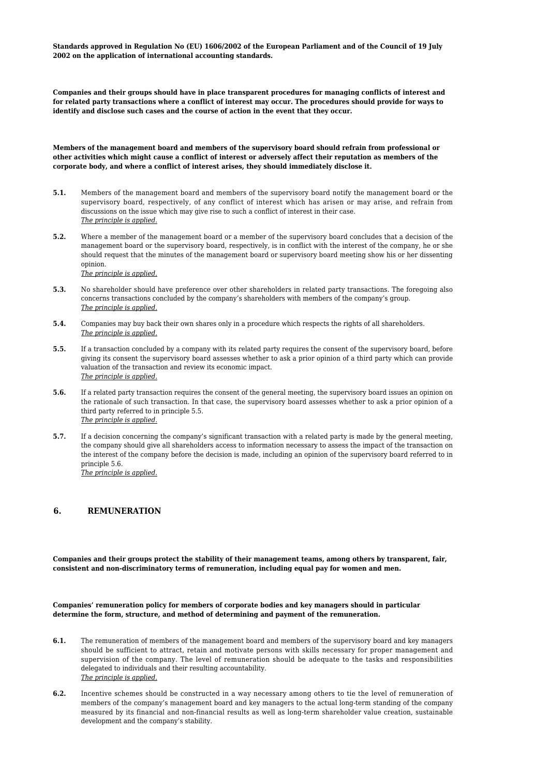**Standards approved in Regulation No (EU) 1606/2002 of the European Parliament and of the Council of 19 July 2002 on the application of international accounting standards.**

**Companies and their groups should have in place transparent procedures for managing conflicts of interest and for related party transactions where a conflict of interest may occur. The procedures should provide for ways to identify and disclose such cases and the course of action in the event that they occur.**

**Members of the management board and members of the supervisory board should refrain from professional or other activities which might cause a conflict of interest or adversely affect their reputation as members of the corporate body, and where a conflict of interest arises, they should immediately disclose it.**

- **5.1.** Members of the management board and members of the supervisory board notify the management board or the supervisory board, respectively, of any conflict of interest which has arisen or may arise, and refrain from discussions on the issue which may give rise to such a conflict of interest in their case. *The principle is applied.*
- **5.2.** Where a member of the management board or a member of the supervisory board concludes that a decision of the management board or the supervisory board, respectively, is in conflict with the interest of the company, he or she should request that the minutes of the management board or supervisory board meeting show his or her dissenting opinion. *The principle is applied.*
- **5.3.** No shareholder should have preference over other shareholders in related party transactions. The foregoing also concerns transactions concluded by the company's shareholders with members of the company's group. *The principle is applied.*
- **5.4.** Companies may buy back their own shares only in a procedure which respects the rights of all shareholders. *The principle is applied.*
- **5.5.** If a transaction concluded by a company with its related party requires the consent of the supervisory board, before giving its consent the supervisory board assesses whether to ask a prior opinion of a third party which can provide valuation of the transaction and review its economic impact. *The principle is applied.*
- **5.6.** If a related party transaction requires the consent of the general meeting, the supervisory board issues an opinion on the rationale of such transaction. In that case, the supervisory board assesses whether to ask a prior opinion of a third party referred to in principle 5.5. *The principle is applied.*
- **5.7.** If a decision concerning the company's significant transaction with a related party is made by the general meeting, the company should give all shareholders access to information necessary to assess the impact of the transaction on the interest of the company before the decision is made, including an opinion of the supervisory board referred to in principle 5.6. *The principle is applied.*

### **6. REMUNERATION**

**Companies and their groups protect the stability of their management teams, among others by transparent, fair, consistent and non-discriminatory terms of remuneration, including equal pay for women and men.**

**Companies' remuneration policy for members of corporate bodies and key managers should in particular determine the form, structure, and method of determining and payment of the remuneration.**

- **6.1.** The remuneration of members of the management board and members of the supervisory board and key managers should be sufficient to attract, retain and motivate persons with skills necessary for proper management and supervision of the company. The level of remuneration should be adequate to the tasks and responsibilities delegated to individuals and their resulting accountability. *The principle is applied.*
- **6.2.** Incentive schemes should be constructed in a way necessary among others to tie the level of remuneration of members of the company's management board and key managers to the actual long-term standing of the company measured by its financial and non-financial results as well as long-term shareholder value creation, sustainable development and the company's stability.